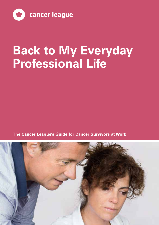

# **Back to My Everyday Professional Life**

**The Cancer League's Guide for Cancer Survivors at Work**

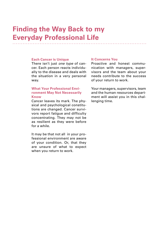## **Finding the Way Back to my Everyday Professional Life**

#### **Each Cancer is Unique**

There isn't just *one type* of cancer. Each person reacts individually to the disease and deals with the situation in a very personal way.

## **What Your Professional Environment May Not Necessarily Know**

Cancer leaves its mark. The physical and psychological constitutions are changed. Cancer survivors report fatigue and difficulty concentrating. They may not be as resilient as they were before for a while.

It may be that not all in your professional environment are aware of your condition. Or, that they are unsure of what to expect when you return to work.

### **It Concerns You**

Proactive and honest communication with managers, supervisors and the team about your needs contribute to the success of your return to work.

Your managers, supervisors, team and the human resources department will assist you in this challenging time.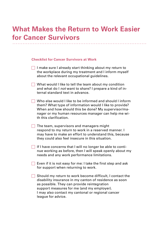# **What Makes the Return to Work Easier for Cancer Survivors**

| <b>Checklist for Cancer Survivors at Work</b> |  |  |  |
|-----------------------------------------------|--|--|--|
|-----------------------------------------------|--|--|--|

- $\Box$  I make sure I already start thinking about my return to the workplace during my treatment and I inform myself about the relevant occupational guidelines.
- $\Box$  What would I like to tell the team about my condition and what do I *not* want to share? I prepare a kind of internal standard text in advance.
- Who else would I like to be informed and should I inform them? What type of information would I like to provide? When and how should this be done? My supervisor/manager or my human resources manager can help me with this clarification.
- $\Box$  The team, supervisors and managers might respond to my return to work in a reserved manner. I may have to make an effort to understand this, because they could also feel insecure in this situation.
- $\Box$  If I have concerns that I will no longer be able to continue working as before, then I will speak openly about my needs and any work performance limitations.
- $\Box$  Even if it is not easy for me: I take the first step and ask for support when returning to work.
- Should my return to work become difficult, I contact the disability insurance in my canton of residence as soon as possible. They can provide reintegration support measures for me (and my employer). I may also contact my cantonal or regional cancer league for advice.